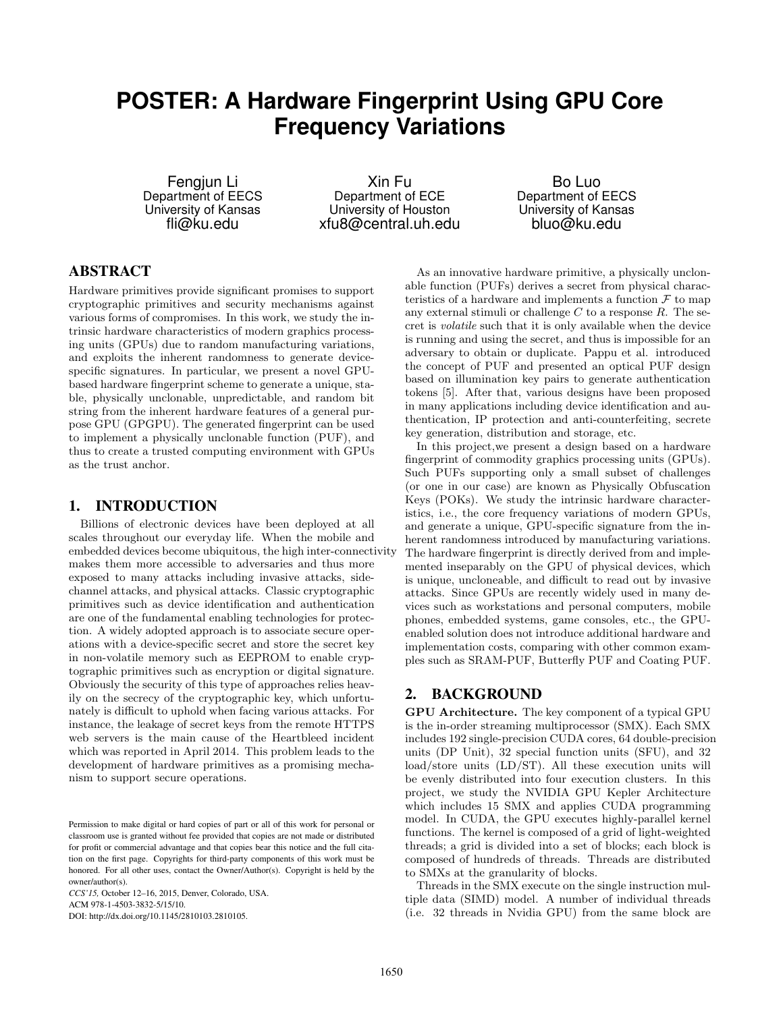# **POSTER: A Hardware Fingerprint Using GPU Core Frequency Variations**

Fengjun Li Department of EECS University of Kansas fli@ku.edu

Xin Fu Department of ECE University of Houston xfu8@central.uh.edu

Bo Luo Department of EECS University of Kansas bluo@ku.edu

# ABSTRACT

Hardware primitives provide significant promises to support cryptographic primitives and security mechanisms against various forms of compromises. In this work, we study the intrinsic hardware characteristics of modern graphics processing units (GPUs) due to random manufacturing variations, and exploits the inherent randomness to generate devicespecific signatures. In particular, we present a novel GPUbased hardware fingerprint scheme to generate a unique, stable, physically unclonable, unpredictable, and random bit string from the inherent hardware features of a general purpose GPU (GPGPU). The generated fingerprint can be used to implement a physically unclonable function (PUF), and thus to create a trusted computing environment with GPUs as the trust anchor.

## 1. INTRODUCTION

Billions of electronic devices have been deployed at all scales throughout our everyday life. When the mobile and embedded devices become ubiquitous, the high inter-connectivity makes them more accessible to adversaries and thus more exposed to many attacks including invasive attacks, sidechannel attacks, and physical attacks. Classic cryptographic primitives such as device identification and authentication are one of the fundamental enabling technologies for protection. A widely adopted approach is to associate secure operations with a device-specific secret and store the secret key in non-volatile memory such as EEPROM to enable cryptographic primitives such as encryption or digital signature. Obviously the security of this type of approaches relies heavily on the secrecy of the cryptographic key, which unfortunately is difficult to uphold when facing various attacks. For instance, the leakage of secret keys from the remote HTTPS web servers is the main cause of the Heartbleed incident which was reported in April 2014. This problem leads to the development of hardware primitives as a promising mechanism to support secure operations.

*CCS'15,* October 12–16, 2015, Denver, Colorado, USA. ACM 978-1-4503-3832-5/15/10.

DOI: http://dx.doi.org/10.1145/2810103.2810105.

As an innovative hardware primitive, a physically unclonable function (PUFs) derives a secret from physical characteristics of a hardware and implements a function  $\mathcal F$  to map any external stimuli or challenge  $C$  to a response  $R$ . The secret is volatile such that it is only available when the device is running and using the secret, and thus is impossible for an adversary to obtain or duplicate. Pappu et al. introduced the concept of PUF and presented an optical PUF design based on illumination key pairs to generate authentication tokens [5]. After that, various designs have been proposed in many applications including device identification and authentication, IP protection and anti-counterfeiting, secrete key generation, distribution and storage, etc.

In this project,we present a design based on a hardware fingerprint of commodity graphics processing units (GPUs). Such PUFs supporting only a small subset of challenges (or one in our case) are known as Physically Obfuscation Keys (POKs). We study the intrinsic hardware characteristics, i.e., the core frequency variations of modern GPUs, and generate a unique, GPU-specific signature from the inherent randomness introduced by manufacturing variations. The hardware fingerprint is directly derived from and implemented inseparably on the GPU of physical devices, which is unique, uncloneable, and difficult to read out by invasive attacks. Since GPUs are recently widely used in many devices such as workstations and personal computers, mobile phones, embedded systems, game consoles, etc., the GPUenabled solution does not introduce additional hardware and implementation costs, comparing with other common examples such as SRAM-PUF, Butterfly PUF and Coating PUF.

# 2. BACKGROUND

GPU Architecture. The key component of a typical GPU is the in-order streaming multiprocessor (SMX). Each SMX includes 192 single-precision CUDA cores, 64 double-precision units (DP Unit), 32 special function units (SFU), and 32 load/store units (LD/ST). All these execution units will be evenly distributed into four execution clusters. In this project, we study the NVIDIA GPU Kepler Architecture which includes 15 SMX and applies CUDA programming model. In CUDA, the GPU executes highly-parallel kernel functions. The kernel is composed of a grid of light-weighted threads; a grid is divided into a set of blocks; each block is composed of hundreds of threads. Threads are distributed to SMXs at the granularity of blocks.

Threads in the SMX execute on the single instruction multiple data (SIMD) model. A number of individual threads (i.e. 32 threads in Nvidia GPU) from the same block are

Permission to make digital or hard copies of part or all of this work for personal or classroom use is granted without fee provided that copies are not made or distributed for profit or commercial advantage and that copies bear this notice and the full citation on the first page. Copyrights for third-party components of this work must be honored. For all other uses, contact the Owner/Author(s). Copyright is held by the owner/author(s).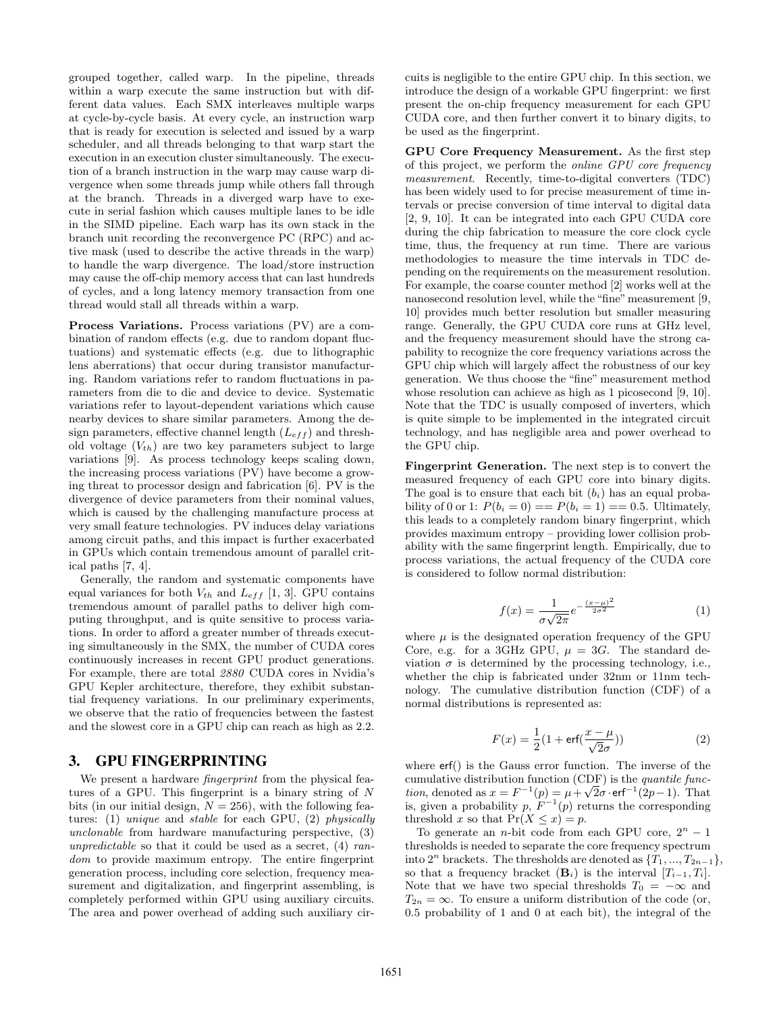grouped together, called warp. In the pipeline, threads within a warp execute the same instruction but with different data values. Each SMX interleaves multiple warps at cycle-by-cycle basis. At every cycle, an instruction warp that is ready for execution is selected and issued by a warp scheduler, and all threads belonging to that warp start the execution in an execution cluster simultaneously. The execution of a branch instruction in the warp may cause warp divergence when some threads jump while others fall through at the branch. Threads in a diverged warp have to execute in serial fashion which causes multiple lanes to be idle in the SIMD pipeline. Each warp has its own stack in the branch unit recording the reconvergence PC (RPC) and active mask (used to describe the active threads in the warp) to handle the warp divergence. The load/store instruction may cause the off-chip memory access that can last hundreds of cycles, and a long latency memory transaction from one thread would stall all threads within a warp.

Process Variations. Process variations (PV) are a combination of random effects (e.g. due to random dopant fluctuations) and systematic effects (e.g. due to lithographic lens aberrations) that occur during transistor manufacturing. Random variations refer to random fluctuations in parameters from die to die and device to device. Systematic variations refer to layout-dependent variations which cause nearby devices to share similar parameters. Among the design parameters, effective channel length  $(L_{eff})$  and threshold voltage  $(V_{th})$  are two key parameters subject to large variations [9]. As process technology keeps scaling down, the increasing process variations (PV) have become a growing threat to processor design and fabrication [6]. PV is the divergence of device parameters from their nominal values, which is caused by the challenging manufacture process at very small feature technologies. PV induces delay variations among circuit paths, and this impact is further exacerbated in GPUs which contain tremendous amount of parallel critical paths [7, 4].

Generally, the random and systematic components have equal variances for both  $V_{th}$  and  $L_{eff}$  [1, 3]. GPU contains tremendous amount of parallel paths to deliver high computing throughput, and is quite sensitive to process variations. In order to afford a greater number of threads executing simultaneously in the SMX, the number of CUDA cores continuously increases in recent GPU product generations. For example, there are total 2880 CUDA cores in Nvidia's GPU Kepler architecture, therefore, they exhibit substantial frequency variations. In our preliminary experiments, we observe that the ratio of frequencies between the fastest and the slowest core in a GPU chip can reach as high as 2.2.

#### 3. GPU FINGERPRINTING

We present a hardware *fingerprint* from the physical features of a GPU. This fingerprint is a binary string of  $N$ bits (in our initial design,  $N = 256$ ), with the following features: (1) unique and stable for each GPU, (2) physically unclonable from hardware manufacturing perspective, (3) unpredictable so that it could be used as a secret,  $(4)$  random to provide maximum entropy. The entire fingerprint generation process, including core selection, frequency measurement and digitalization, and fingerprint assembling, is completely performed within GPU using auxiliary circuits. The area and power overhead of adding such auxiliary circuits is negligible to the entire GPU chip. In this section, we introduce the design of a workable GPU fingerprint: we first present the on-chip frequency measurement for each GPU CUDA core, and then further convert it to binary digits, to be used as the fingerprint.

GPU Core Frequency Measurement. As the first step of this project, we perform the online GPU core frequency measurement. Recently, time-to-digital converters (TDC) has been widely used to for precise measurement of time intervals or precise conversion of time interval to digital data [2, 9, 10]. It can be integrated into each GPU CUDA core during the chip fabrication to measure the core clock cycle time, thus, the frequency at run time. There are various methodologies to measure the time intervals in TDC depending on the requirements on the measurement resolution. For example, the coarse counter method [2] works well at the nanosecond resolution level, while the "fine" measurement [9, 10] provides much better resolution but smaller measuring range. Generally, the GPU CUDA core runs at GHz level, and the frequency measurement should have the strong capability to recognize the core frequency variations across the GPU chip which will largely affect the robustness of our key generation. We thus choose the "fine" measurement method whose resolution can achieve as high as 1 picosecond [9, 10]. Note that the TDC is usually composed of inverters, which is quite simple to be implemented in the integrated circuit technology, and has negligible area and power overhead to the GPU chip.

Fingerprint Generation. The next step is to convert the measured frequency of each GPU core into binary digits. The goal is to ensure that each bit  $(b_i)$  has an equal probability of 0 or 1:  $P(b_i = 0) == P(b_i = 1) == 0.5$ . Ultimately, this leads to a completely random binary fingerprint, which provides maximum entropy – providing lower collision probability with the same fingerprint length. Empirically, due to process variations, the actual frequency of the CUDA core is considered to follow normal distribution:

$$
f(x) = \frac{1}{\sigma\sqrt{2\pi}}e^{-\frac{(x-\mu)^2}{2\sigma^2}}
$$
 (1)

where  $\mu$  is the designated operation frequency of the GPU Core, e.g. for a 3GHz GPU,  $\mu = 3G$ . The standard deviation  $\sigma$  is determined by the processing technology, i.e., whether the chip is fabricated under 32nm or 11nm technology. The cumulative distribution function (CDF) of a normal distributions is represented as:

$$
F(x) = \frac{1}{2}(1 + \text{erf}(\frac{x - \mu}{\sqrt{2}\sigma}))
$$
\n(2)

where erf() is the Gauss error function. The inverse of the cumulative distribution function (CDF) is the quantile function, denoted as  $x = F^{-1}(p) = \mu + \sqrt{2}\sigma \cdot erf^{-1}(2p-1)$ . That is, given a probability p,  $F^{-1}(p)$  returns the corresponding threshold x so that  $Pr(X \leq x) = p$ .

To generate an *n*-bit code from each GPU core,  $2^n - 1$ thresholds is needed to separate the core frequency spectrum into  $2^n$  brackets. The thresholds are denoted as  $\{T_1, ..., T_{2n-1}\},$ so that a frequency bracket  $(\mathbf{B}_i)$  is the interval  $[T_{i-1}, T_i]$ . Note that we have two special thresholds  $T_0 = -\infty$  and  $T_{2n} = \infty$ . To ensure a uniform distribution of the code (or, 0.5 probability of 1 and 0 at each bit), the integral of the